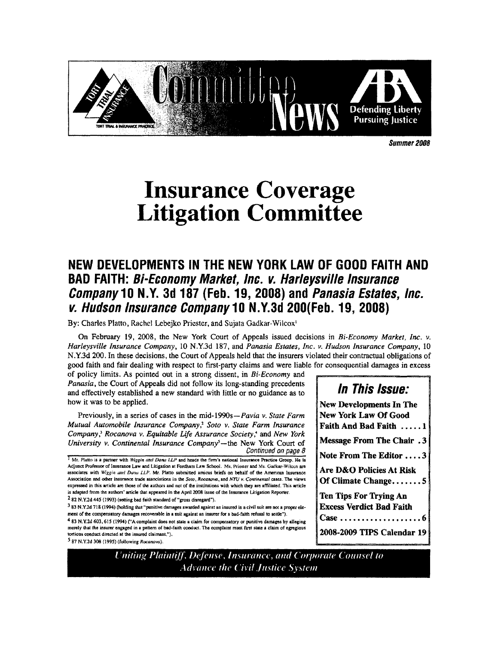

Summer 2008

# **Insurance Coverage Litigation Committee**

# NEW DEVELOPMENTS IN THE NEW YORK LAW OF GOOD FAITH AND **BAD FAITH: Bi-Economy Market, Inc. v. Harleysville Insurance** Company 10 N.Y. 3d 187 (Feb. 19, 2008) and Panasia Estates, Inc. v. Hudson Insurance Company 10 N.Y.3d 200(Feb. 19, 2008)

By: Charles Platto, Rachel Lebejko Priester, and Sujata Gadkar-Wilcox<sup>1</sup>

On February 19, 2008, the New York Court of Appeals issued decisions in Bi-Economy Market, Inc. v. Harleysville Insurance Company, 10 N.Y.3d 187, and Panasia Estates, Inc. v. Hudson Insurance Company, 10 N.Y.3d 200. In these decisions, the Court of Appeals held that the insurers violated their contractual obligations of good faith and fair dealing with respect to first-party claims and were liable for consequential damages in excess

of policy limits. As pointed out in a strong dissent, in Bi-Economy and Panasia, the Court of Appeals did not follow its long-standing precedents and effectively established a new standard with little or no guidance as to how it was to be applied.

Previously, in a series of cases in the mid-1990s—Pavia v. State Farm Mutual Automobile Insurance Company,<sup>2</sup> Soto v. State Farm Insurance Company,<sup>3</sup> Rocanova v. Equitable Life Assurance Society,<sup>4</sup> and New York University v. Continental Insurance Company<sup>5</sup>—the New York Court of Continued on page 8

Mr. Platto is a partner with Wiggin and Dana LLP and heads the firm's national Insurance Practice Group. He is Adjunct Professor of Insurance Law and Litigation at Fordham Law School. Ms. Priester and Ms. Gadkar-Wilcox are associates with Wiggin and Dana LLP. Mr. Platto submitted amicus briefs on behalf of the American Insurance Association and other insurance trade associations in the Soto, Rocanova, and NYU v. Continental cases. The views expressed in this article are those of the authors and not of the institutions with which they are affiliated. This article is adapted from the authors' article that appeared in the April 2008 issue of the Insurance Litigation Reporter. <sup>2</sup> 82 N.Y.2d 445 (1993) (setting bad faith standard of "gross disregard").

3 83 N.Y.2d 718 (1994) (holding that "punitive damages awarded against an insured in a civil suit are not a proper ele ment of the compensatory damages recoverable in a suit against an insurer for a bad-faith refusal to settle").

4 83 N.Y.2d 603, 615 (1994) ("A complaint does not state a claim for compensatory or punitive damages by alleging merely that the insurer engaged in a pattern of bad-faith conduct. The complaint must first state a claim of egregious tortious conduct directed at the insured claimant,").

5 87 N.Y.2d 308 (1995) (following Rocanova)

**New Developments In The New York Law Of Good** Faith And Bad Faith ..... 1 **Message From The Chair.3** Note From The Editor ....3 Are D&O Policies At Risk Of Climate Change....... $5$ **Ten Tips For Trying An Excess Verdict Bad Faith** 2008-2009 TIPS Calendar 19

**In This Issue:** 

Uniting Plaintiff, Defense, Insurance, and Corporate Counsel to **Advance the Civil Justice System**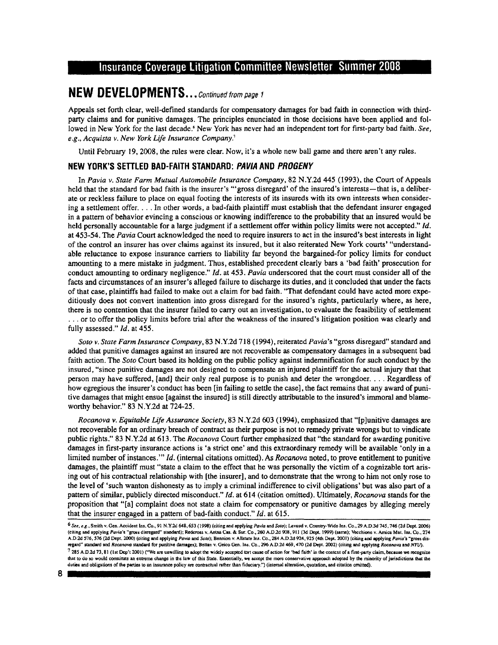# NEW DEVELOPMENTS ...continued rrom page I

Appeals set forth clear, well-defined standards for compensatory damages for bad faith in connection with thirdparry claims and for punitive damages. The principles enunciated in those decisions have been applied and followed in New York for the last decade.' New York has never had an independent tort for first-party bad faith. See, e.g., Acquista v. New York Life Insurance Company.'

Until February 19, 2008, the rules were clear. Now, it's a whole new ball game and there aren't any rules.

#### NEW YORK'S SETTLED BAD-FAITH STANDARD: PAVIA AND PROGENY

ln Pavia v. State Farm Mutual Automobile Insurance Company,82 N.Y.2d 445 (1993), the Court of Appeals held that the standard for bad faith is the insurer's "'gross disregard' of the insured's interests-that is, a deliberate or reckless failure to place on equal footing the interests of its insureds with its own interests whsn considering a settlement offer. . . . In other words, a bad-faith plaintiff must establish that the defendant insurer engaged in a pattern of behavior evincing a conscious or knowing indifference to the probability that an insured would be held personally accountable for a large judgment if a settlement offer within policy limits were not accepted." Id. at 453-54. The Pavia Court acknowledged the need to require insurers to act in the insured's best interests in light of the control an insurer has over claims against its insured, but it also reiterated New York courts' "understandable reluctance to expose insurance carriers to liability far beyond the bargained-for policy limits for conduct amounting to a mere mistake in judgment. Thus, established precedent clearly bars a 'bad faith'prosecution for conduct amounting to ordinary negligence." Id. at 453. Pavia underscored that the court must consider all of the facts and circumstances of an insurer's alleged failure to discharge its duties, and it concluded that under the facts of that case, plaintiffs had failed to make out a claim for bad faith. "That defendant could have acted more expeditiously does nof convert inattention into gross disregard for the insured's rights, particularly where, as here, there is no contention that the insurer failed to carry out an investigation, to evaluate the feasibility of settlement ... or to offer the policy limits before trial after the weakness of the insured's litigation position was clearly and fully assessed." Id. at 455.

Soto v. State Farm Insurance Company, 83 N.Y.2d 718 (1994), reiterated Pavia's "gross disregard" standard and added that punitive damages against an insured are not recoverable as compensatory damages in a subsequent bad faith action. The Soto Court based its holding on the public policy against indemnification for such conduct by the insured, "since punitive damages are not designed to compensate an injured plaintifffor the actual injury that that person may have suffered, [and] their only real purpose is to punish and deter the wrongdoer. . . . Regardless of how egregious the insurer's conduct has been [in failing to settle the case], the fact remains that any award of punitive damages that might ensue [against the insured] is still directly attributable to the insured's immoral and blameworthy behavior." 83 N.Y.2d at 724-25.

Rocanova v. Equitable Life Assurance Society, 83 N.Y.2d 603 (1994), emphasized that "[p]unitive damages are not recoverable for an ordinary breach of contract as their purpose is not to remedy private wrongs but to vindicate public rights." 83 N.Y.2d at 613. The Rocanova Court further emphasized that "the standard for awarding punitive damages in first-party insurance actions is 'a strict one' and this extraordinary remedy will be available 'only in a limited number of instances."' Id. (internal citations omitted). As Rocanova noted, to prove entitlement to punitive damages, the plaintiff must "state a claim to the effect that he was personally the victim of a cognizable tort arising out of his contractual relationship with [the insurer], and to demonstrate that the wrong to him not only rose to the level of 'such wanton dishonesty as to imply a criminal indifference to civil obligations'but was also part of <sup>a</sup> pattern of similar, publicly directed misconduct." Id. at 614 (citation omitted). Ultimately, Rocanova stands for the proposition that "[a] complaint does not state a claim for compensatory or punitive damages by alleging merely that the insurer engaged in a pattern of bad-faith conduct." Id. at 615.

<sup>6</sup> See, e.g., Smith v. Gen. Accident lns. Co., 91 N.Y.2d 648, 653 (1998) (citing and applying Pavia and Soto); Lavaud v. Country-Wide Ins. Co., 29 A.D.3d 745, 746 (2d Dept. 2006) (citing and applying Pavia's "gross disregard" standard); Redcross v. Aetna Cas. & Sur. Co., 260 A.D.2d 908, 911 (3d Dept. 1999) (same); Vecchione v. Amica Mut. Ins. Co., 274<br>A.D.2d 576, 576 (2d Dept. 2000) (citing and app regard" standard and Rocanova standard for punitive damages); Bettan v. Geico Gen. Ins. Co., 296 A.D.2d 469, 470 (2d Dept. 2002) (citing and applying Rocanova and NYU).  $^7$  285 A.D.2d 73, 81 (1st Dep't 2001) ("We are unwilling to adopt the widely accepted tort cause of action for 'bad faith' in the context of a first-party claim, because we recognize that to do so would constitute an extreme change in the law of this State. Essentially, we accept the more conservative approach adopted by the minority of jurisdictions that the duties and obligations of the parties to an insurance policy are contractual rather than fiduciary.") (internal alteration, quotation, and citation omitted).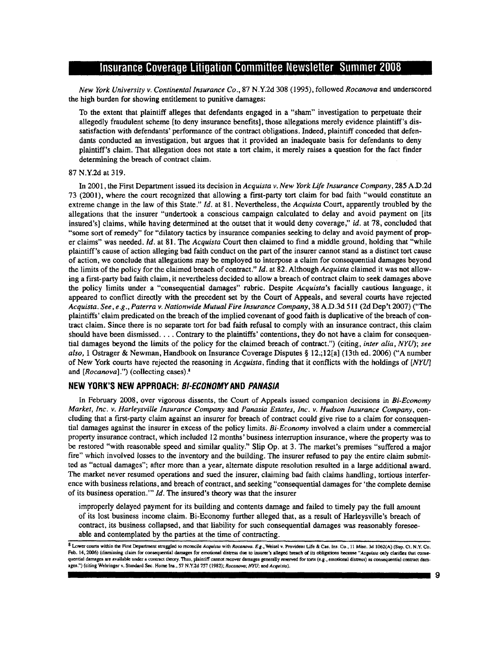New York University v. Continental Insurance Co., 87 N.Y.2d 308 (1995), followed Rocanova and underscored the high burden for showing entitlement to punitive damages:

To the extent that plaintiff alleges that defendants engaged in a "sham" investigation to perpetuate their allegedly fraudulent scheme [to deny insurance benefits], those allegations merely evidence plaintiff's dissatisfaction with defendants' performance of the contract obligations. Indeed, plaintiff conceded that defendants conducted an investigation, but argues that it provided an inadequate basis for defendants to deny plaintiff's claim. That allegation does not state a tort claim, it merely raiscs a qucstion for the fact finder determining the breach of contract claim.

#### 87 N.Y2d at 319.

In 2001, the First Department issued its decision in Acquista v. New York Life Insurance Company, 285 A.D.2d 73 (2001), where the court recognized that allowing a first-party tort claim for bad faith "would constitute an extreme change in the law of this State." Id, at 81. Nevertheless, the Acquista Court, apparently troubled by the allegations that the insurer "undertook a conscious campaign calculated to delay and avoid payment on [its insured's] claims, while having determined at the outset that it would deny coverage," id. at 78, concluded that "some sort of remedy" for "dilatory tactics by insurance companies seeking to delay and avoid payment of prop er claims" was needed. Id. at 81. The Acquista Court then claimed to find a middle ground, holding that "while plaintiff's cause of action alleging bad faith conduct on the part of the insurer cannot stand as a distinct tort cause of action, we conclude that allegations may be employed io interpose a claim for consequential damages beyond the limits of the policy for the claimed breach of contract." Id. at 82. Although Acquista claimed it was not allowing a first-party bad faith claim, it nevertheless decided to allow a breach of contract claim to seek damages above the policy limits under a "consequential damages" rubric. Despitc Acquista's facially cautious language, it appeared to conflict directly with the precedent set by the Court of Appeals, and several courts have rejected Acquista. See, e.g., Paterra v. Nationwide Mutual Fire Insurance Company, 38 A.D.3d 511 (2d Dep't 2007) ("The plaintiffs' claim predicated on the breach of the implied covenant of good faith is duplicative of the breach of contract claim. Since there is no separate tort for bad faith refusal to comply with an insurance contract, this claim should have been dismissed. . . . Contrary to the plaintiffs' contentions, they do not have a claim for consequential damages beyond the limits of the policy for the claimed breach of contract.") (citing, inter alia, NYU); see also, 1 Ostrager & Newman, Handbook on Insurance Coverage Disputes  $\S 12$ .;12[a] (13th ed. 2006) ("A number of New York courts have rejected the reasoning in Acquista, finding that it conflicts with the holdings of [NYU] and  $[Rocanova]$ .") (collecting cases). $^*$ 

#### NEW YORK'S NEW APPROACH: BI-ECONOMY AND PANASIA

In February 2008, over vigorous dissents, the Court of Appeals issued companion decisions in  $Bi-Econom$ Market, Inc. v. Harleysville Insurance Company and Panasia Estates, Inc. v. Hudson Insurance Company, concluding that a first-parry claim against an insurer for breach of contract could give rise to a claim for consequential damages against the insurer in excess of the policy limits. 8i-Economy involved a claim under a commercial property insurance contract, which included 12 months' business interruption insurance, where the property was to be restored "with reasonable speed and similar quality." Slip Op. at 3. The market's premises "suffered a major fire" which involved losses to the inventory and the building. The insurer refused to pay the entire claim submitted as "actual damages"; after more than a year, altemate dispute resolution resulted in a large additional award. The market never resumed operafions and sued the insurer, claiming bad faith claims handling, tortious interference with business relations, and breach of contract, and seeking "consequential damages for'the complete demise of its business operation.""  $Id$ . The insured's theory was that the insurer

improperly delayed payment for its building and contents damage and failed to timely pay the full amount of its lost business income claim. Bi-Economy fuither alleged that, as a result of Harleysville's breach of contract, its business collapsed, and that liability for such eonsequential damages was reasonably foreseeable and contemplated by the parties at the time of contracting.

<sup>8</sup> Lower courts within the First Department struggled to reconcile Acquista with Rocanova. E.g., Weisel v. Provident Life & Cas. Ins. Co., 11 Misc. 3d 1062(A) (Sup. Ct. N.Y. Co. Feb. 14, 2006) (dismissing claim for consequential damages for emotional distress due to insurer's alleged breach of its obligations because "Acquista only clarifies that consequential damages are available under a contract theory. Thus, plaintiff cannot recover damages generally reserved for torts (e.g., emotional distress) as consequential contract damages.") (citing Wehringer v. Standard Sec. Home Ins., 57 N.Y.2d 757 (1982); Rocanova; NYU; and Acquista).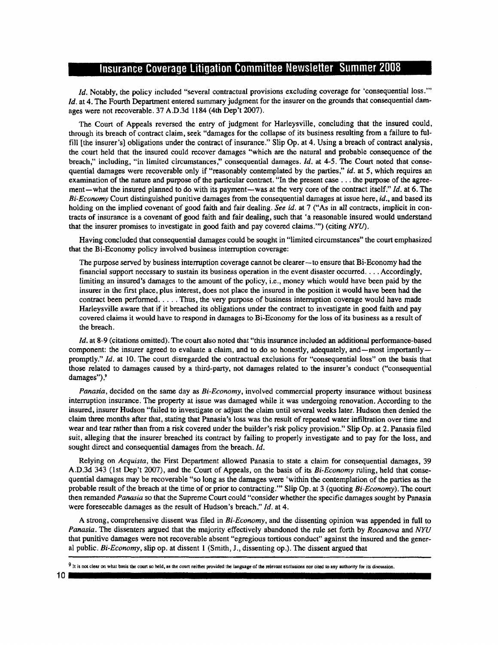/d. Notably, the policy included "several contractual provisions excluding coverage for 'consequential loss."' Id. at 4. The Fourth Department entered summary judgment for the insurer on the grounds that consequential damages were not recoverable. 37 A.D.3d I184 (4th Dep't 2007).

The Court of Appeals reversed the entry of judgment for Harleysville, concluding that the insured could, through its breach of contract claim, seek "damages for the collapse of its business resulting from a failure to fulfill [the insurer's] obligations under the contract of insurance." Slip Op. at 4. Using a breach of contract analysis, the court held that the insured could recover damages "which are the natural and probable consequence of the breach," including, "in limited circumstances," consequential damages. *Id.* at 4-5. The Court noted that consequential damages were recoverable only if "reasonably contemplated by the parties," id. at 5, which requires an examination of the nature and purpose of the particular contract. "In the present case . . . the purpose of the agreement—what the insured planned to do with its payment—was at the very core of the contract itself." Id. at 6. The  $Bi-Economy Court distinguished$  punitive damages from the consequential damages at issue here,  $id$ ., and based its holding on the implied covenant of good faith and fair dealing. See id. at  $7$  ("As in all contracts, implicit in contracts of insurance is a covenant of good faith and fair dealing, such that 'a reasonable insured would understand that the insurer promises to investigate in good faith and pay covered claims."") (citing  $NYU$ ).

Having concluded that consequential damages could be sought in "limited circumstances" the court emphasized that the Bi-Economy policy involved business intemrption coverage:

The purpose served by business interruption coverage cannot be clearer—to ensure that Bi-Economy had the financial support necessary to sustain its busincss operation in the event disaster occurred. . . . Accordingly, limiting an insured's damages to the amount of the policy, i.e., money which would have been paid by the insurer in the fnst place, plus intercst, does not place the insured in the position it would have been had the contract been performed. . . . . Thus, the very purpose of business intemrption coverage would have made Harleysville aware that if it breached its obligations under the contract to investigate in good faith and pay covered claims it would have to respond in damages to Bi-Economy for the loss of its business as a result of the breach.

Id. at 8-9 (citations omitted). The court also noted that "this insurance included an additional performance-based component: the insurer agreed to evaluate a claim, and to do so honestly, adequately, and-most importantlypromptly." Id. at lO. The court disregarded the contractual exclusions for "consequential loss" on the basis that those related to damages caused by a third-party, not damages related to the insurer's conduct ("consequential damages").<sup>9</sup>

*Panasia*, decided on the same day as  $Bi-Economy$ , involved commercial property insurance without business interruption insurance. The property at issue was damaged while it was undergoing renovation. According to the insured, insurer Hudson "failed to investigate or adjust the claim until several weeks later. Hudson then denied the claim three months after that, stating that Panasia's loss was the result of repeated water infiltration ovcr time and wear and tear rather than from a risk covered under the builder's risk policy provision." Slip Op. at 2. Panasia filed suit, alleging that the insurer breached its contract by failing to properly investigate and to pay for the loss, and sought direct and consequential damages from the breach. Id.

Relying on Acquista, the First Department allowed Panasia to state a claim for consequential damages, 39 A.D.3d 343 (lst Dep't 2007), and the Court of Appeals, on the basis of its Bi-Economy ruling, held that consequential damages may be recoverable "so long as the damages were 'within the contemplation of the parties as the probable result of the breach at the time of or prior to contracting." Slip Op. at 3 (quoting Bi-Economy). The court then remanded Panasia so that the Supreme Court could "consider whether the specific damages sought by Panasia were foreseeable damages as the result of Hudson's breach." Id. at 4.

A strong, comprehensive dissent was filed in Bi-Economy, and the dissenting opinion was appended in full to Panasia. The dissenters argued that the majority effectively abandoned the rule set forth by Rocanova and NYU that punitive darnages were not recoverable absent "egregious tortious conduct" against the insured and the general public. Bi-Econonry, slip op. at dissent I (Smith, J., dissenting op,). The dissent argued that

<sup>9</sup> It is not clear on what basis the court so held, as the court neither provided the tanguage of the relevant exclusions nor cited to any authority for its discussion.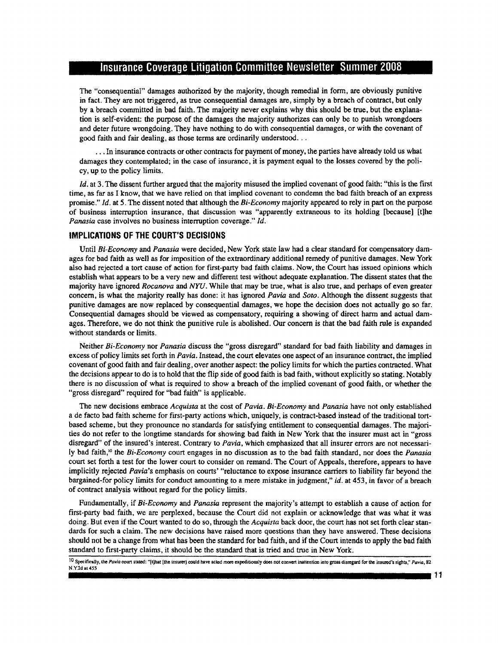The "consequential" damages authorized by the majority, though remedial in form, are obviously punitive in fact. They are not triggered, as true consequential damages are, simply by a breach of contract, but only by a breach committed in bad faith. The majority never explains why this should be true, but the explanation is self-evident: the purpose of the damages the majority authorizes can only be to punish wrongdoers and deter future wrongdoing. They have nothing to do with consequential damages, or with the covenant of good faith and fair dealing, as those terms are ordinarily understood. . .

. . .In insurance contracts or other contracts for payment of money, the parties have already told us what damages they contemplatcd; in the case of insurance, it is payment egual to the losses covered by the policy, up to the policy limits.

Id. at 3. The dissent further argued that the majority misused the implied covenant of good faith: "this is the first time, as far as I know, that we have relied on that implied covenant to condemn the bad faith breach of an express promise." Id. at 5. The dissent noted that although the Bi-Economy majority appeared to rely in part on the purpose of business interruption insurance, that discussion was "apparently extraneous to its holding [because] [t]he Panasia case involves no business interruption coverage."  $Id$ .

#### IMPLIGATIONS OF THE COURT'S DECISIONS

Until Bi-Economy and Panasia were decided, New York state law had a clear standard for compensatory damages for bad faith as well as for imposition of the extraordinary additional remedy of punitive damages. New York also had rejected a tort cause of action for first-party bad faith claims. Now, the Court has issued opinions which establish what appears to be a very new and different test without adequate explanation. The dissent states that the majority have ignored Rocanova and NYU. While that may be true, what is also true, and perhaps of even greater concern, is what the majority really has done: it has ignored Pavia and Soto. Although the dissent suggests that punitive damages are now replaced by consequential damages, we hope the decision does not actually go so far. Consequential damages should be viewed as compensatory, requiring a sbowing of direct harm and actual damr ages. Therefore, we do not think the punitive rule is abolished. Our concern is that the bad faith rule is expanded without standards or limits.

Neither Bi-Economy nor Panasia discuss the "gross disregard" standard for bad faith liability and damages in excess of policy limits set forth in Pavia. Instead, the court elevates one aspect of an insurance contract, the implied covenant of good faith and fair dealing, over another aspect the policy limits for which the parties contracted. What the decisions appear to do is to hold that the flip side of good faith is bad faith, without explicitly so stating. Notably there is no discussion of what is required to show a breach of the implied covenant of good faith, or whether the "gross disregard" required for "bad faith" is applicable.

The new decisions embrace Acquista at the cost of Pavia. Bi-Economy and Panasia have not only established a de facto bad faith scheme for first-party actions which, uniquely, is contract-based instead of the traditional tortbased scheme, but they pronounce no standards for satisfying entitlement to consequential damages. The majorities do not refer to the longtime standards for showing bad faith in New York that the insurer must act in "gross disregard" of the insured's interest. Contrary to Pavia, which emphasized that all insurer errors are not necessarily bad faith,<sup>10</sup> the Bi-Economy court engages in no discussion as to the bad faith standard, nor does the Panasia court set forth a test for the lower court to consider on remand. The Court of Appeals, therefore, appears to have implicitly rejected Pavia's emphasis on courts' "reluctance to expose insurance carriers to liability far beyond the bargained-for policy limits for conduct amounring to a mere mistake in judgment," id. at 453, in favor of a breach of contract analysis without regard for the policy limits.

Fundamentally, if Bi-Economy and Panasia represent the majority's attempt to establish a cause of action for first'party bad faith, we are perplexed, because the Court did not explain or acknowledge that was what it was doing. But even if the Court wanted to do so, through the Acquista back door, the court has not set forth clear standards for such a claim. The new decisions have raised more questions than they have answered. These decisions should not be a change from what has been the standard for bad faith, and if the Court intends to apply the bad faith standard to frst-party claims, it should be the standard that is tried and true in New York.

10 Specifically, the Pavia court stated: "{t]hat [the insurer] could have acted more expeditiously does not convert inattention into gross disregard for the insured's rights," Pavia, 82 N.Yld at 455